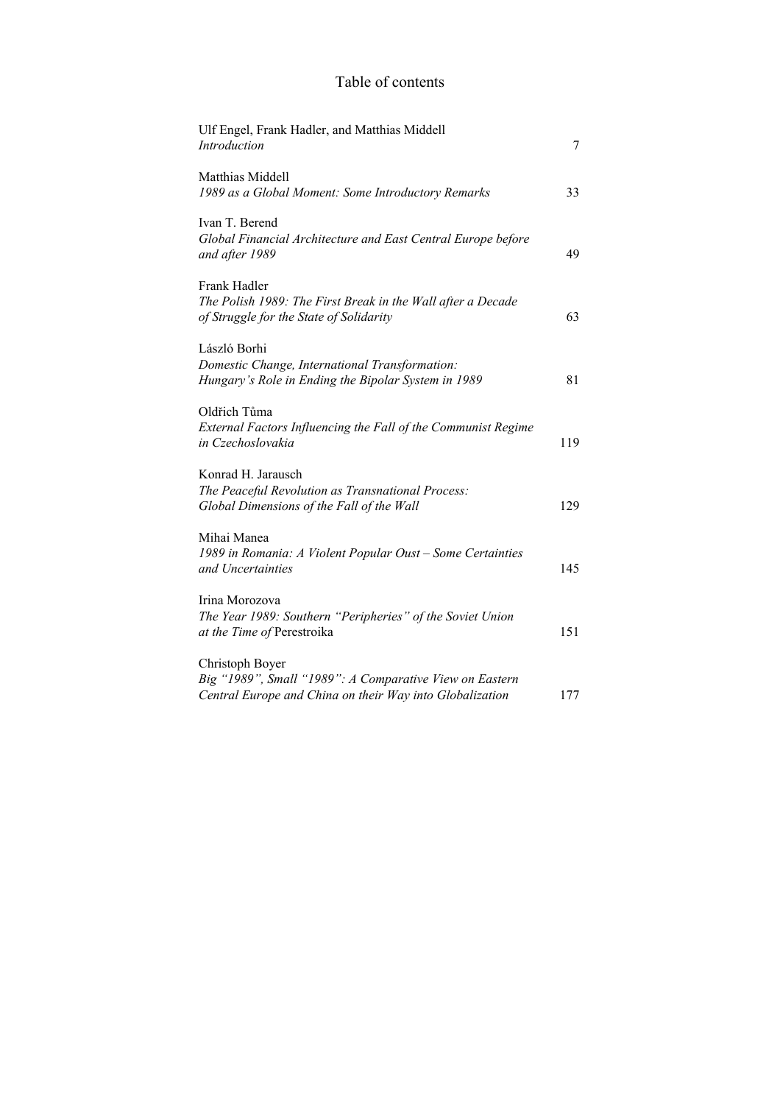## Table of contents

| Ulf Engel, Frank Hadler, and Matthias Middell<br>Introduction                                                                          | 7   |
|----------------------------------------------------------------------------------------------------------------------------------------|-----|
| Matthias Middell<br>1989 as a Global Moment: Some Introductory Remarks                                                                 | 33  |
| Ivan T. Berend<br>Global Financial Architecture and East Central Europe before<br>and after 1989                                       | 49  |
| Frank Hadler<br>The Polish 1989: The First Break in the Wall after a Decade<br>of Struggle for the State of Solidarity                 | 63  |
| László Borhi<br>Domestic Change, International Transformation:<br>Hungary's Role in Ending the Bipolar System in 1989                  | 81  |
| Oldřich Tůma<br>External Factors Influencing the Fall of the Communist Regime<br>in Czechoslovakia                                     | 119 |
| Konrad H. Jarausch<br>The Peaceful Revolution as Transnational Process:<br>Global Dimensions of the Fall of the Wall                   | 129 |
| Mihai Manea<br>1989 in Romania: A Violent Popular Oust - Some Certainties<br>and Uncertainties                                         | 145 |
| Irina Morozova<br>The Year 1989: Southern "Peripheries" of the Soviet Union<br>at the Time of Perestroika                              | 151 |
| Christoph Boyer<br>Big "1989", Small "1989": A Comparative View on Eastern<br>Central Europe and China on their Way into Globalization | 177 |